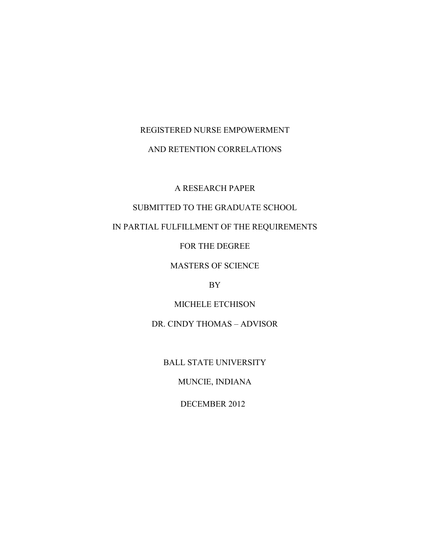# REGISTERED NURSE EMPOWERMENT

## AND RETENTION CORRELATIONS

A RESEARCH PAPER

# SUBMITTED TO THE GRADUATE SCHOOL

# IN PARTIAL FULFILLMENT OF THE REQUIREMENTS

FOR THE DEGREE

MASTERS OF SCIENCE

BY

MICHELE ETCHISON

DR. CINDY THOMAS – ADVISOR

BALL STATE UNIVERSITY

MUNCIE, INDIANA

DECEMBER 2012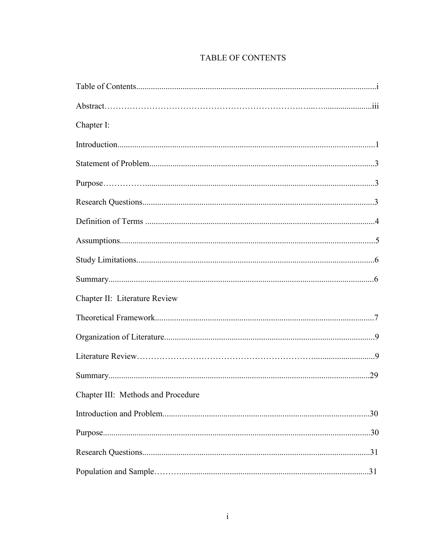# TABLE OF CONTENTS

| Chapter I:                         |     |
|------------------------------------|-----|
|                                    |     |
|                                    |     |
|                                    |     |
|                                    |     |
|                                    |     |
|                                    |     |
|                                    |     |
|                                    |     |
| Chapter II: Literature Review      |     |
|                                    |     |
|                                    |     |
|                                    |     |
|                                    |     |
| Chapter III: Methods and Procedure |     |
|                                    | .30 |
|                                    |     |
|                                    |     |
|                                    |     |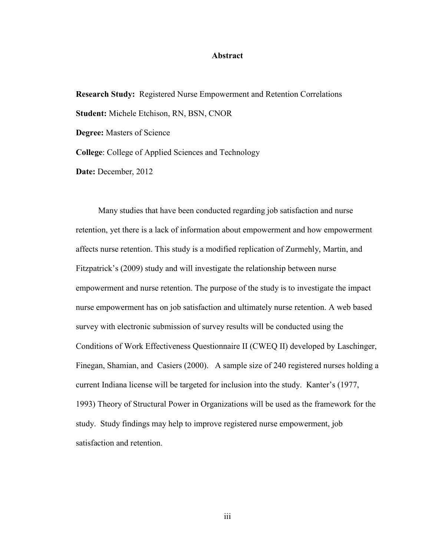## **Abstract**

 **Research Study:** Registered Nurse Empowerment and Retention Correlations **Date:** December, 2012 **Student:** Michele Etchison, RN, BSN, CNOR **Degree:** Masters of Science **College**: College of Applied Sciences and Technology

 Conditions of Work Effectiveness Questionnaire II (CWEQ II) developed by Laschinger, Finegan, Shamian, and Casiers (2000). A sample size of 240 registered nurses holding a Many studies that have been conducted regarding job satisfaction and nurse retention, yet there is a lack of information about empowerment and how empowerment affects nurse retention. This study is a modified replication of Zurmehly, Martin, and Fitzpatrick's (2009) study and will investigate the relationship between nurse empowerment and nurse retention. The purpose of the study is to investigate the impact nurse empowerment has on job satisfaction and ultimately nurse retention. A web based survey with electronic submission of survey results will be conducted using the current Indiana license will be targeted for inclusion into the study. Kanter's (1977, 1993) Theory of Structural Power in Organizations will be used as the framework for the study. Study findings may help to improve registered nurse empowerment, job satisfaction and retention.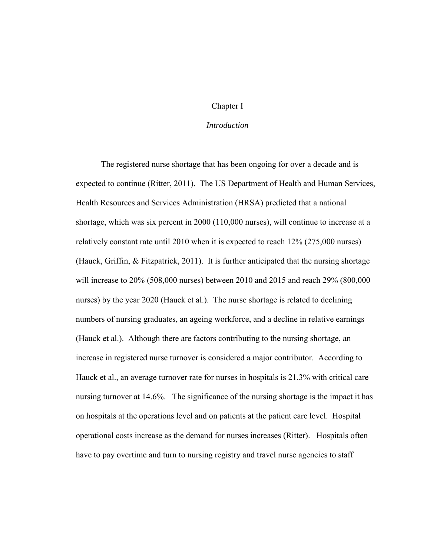## Chapter I

## *Introduction*

 nurses) by the year 2020 (Hauck et al.). The nurse shortage is related to declining The registered nurse shortage that has been ongoing for over a decade and is expected to continue (Ritter, 2011). The US Department of Health and Human Services, Health Resources and Services Administration (HRSA) predicted that a national shortage, which was six percent in 2000 (110,000 nurses), will continue to increase at a relatively constant rate until 2010 when it is expected to reach 12% (275,000 nurses) (Hauck, Griffin, & Fitzpatrick, 2011). It is further anticipated that the nursing shortage will increase to 20% (508,000 nurses) between 2010 and 2015 and reach 29% (800,000 numbers of nursing graduates, an ageing workforce, and a decline in relative earnings (Hauck et al.). Although there are factors contributing to the nursing shortage, an increase in registered nurse turnover is considered a major contributor. According to Hauck et al., an average turnover rate for nurses in hospitals is 21.3% with critical care nursing turnover at 14.6%. The significance of the nursing shortage is the impact it has on hospitals at the operations level and on patients at the patient care level. Hospital operational costs increase as the demand for nurses increases (Ritter). Hospitals often have to pay overtime and turn to nursing registry and travel nurse agencies to staff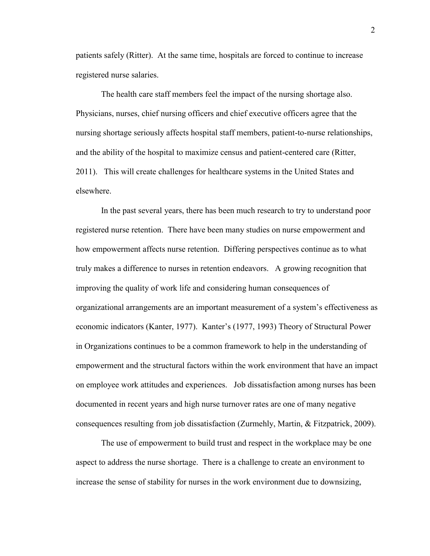patients safely (Ritter). At the same time, hospitals are forced to continue to increase registered nurse salaries.

The health care staff members feel the impact of the nursing shortage also. and the ability of the hospital to maximize census and patient-centered care (Ritter, Physicians, nurses, chief nursing officers and chief executive officers agree that the nursing shortage seriously affects hospital staff members, patient-to-nurse relationships, 2011). This will create challenges for healthcare systems in the United States and elsewhere.

 documented in recent years and high nurse turnover rates are one of many negative In the past several years, there has been much research to try to understand poor registered nurse retention. There have been many studies on nurse empowerment and how empowerment affects nurse retention. Differing perspectives continue as to what truly makes a difference to nurses in retention endeavors. A growing recognition that improving the quality of work life and considering human consequences of organizational arrangements are an important measurement of a system's effectiveness as economic indicators (Kanter, 1977). Kanter's (1977, 1993) Theory of Structural Power in Organizations continues to be a common framework to help in the understanding of empowerment and the structural factors within the work environment that have an impact on employee work attitudes and experiences. Job dissatisfaction among nurses has been consequences resulting from job dissatisfaction (Zurmehly, Martin, & Fitzpatrick, 2009).

The use of empowerment to build trust and respect in the workplace may be one aspect to address the nurse shortage. There is a challenge to create an environment to increase the sense of stability for nurses in the work environment due to downsizing,

2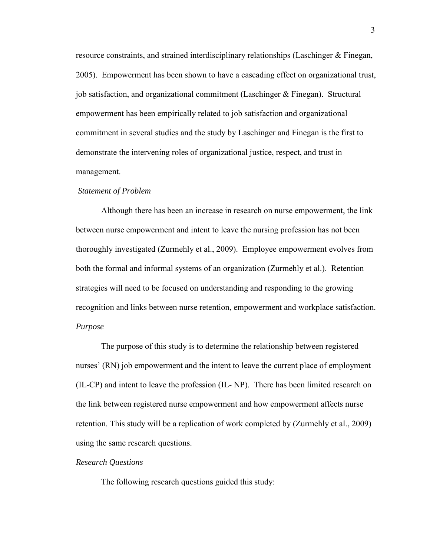commitment in several studies and the study by Laschinger and Finegan is the first to resource constraints, and strained interdisciplinary relationships (Laschinger & Finegan, 2005). Empowerment has been shown to have a cascading effect on organizational trust, job satisfaction, and organizational commitment (Laschinger & Finegan). Structural empowerment has been empirically related to job satisfaction and organizational demonstrate the intervening roles of organizational justice, respect, and trust in management.

#### *Statement of Problem*

 thoroughly investigated (Zurmehly et al., 2009). Employee empowerment evolves from strategies will need to be focused on understanding and responding to the growing Although there has been an increase in research on nurse empowerment, the link between nurse empowerment and intent to leave the nursing profession has not been both the formal and informal systems of an organization (Zurmehly et al.). Retention recognition and links between nurse retention, empowerment and workplace satisfaction. *Purpose* 

The purpose of this study is to determine the relationship between registered nurses' (RN) job empowerment and the intent to leave the current place of employment (IL-CP) and intent to leave the profession (IL- NP). There has been limited research on the link between registered nurse empowerment and how empowerment affects nurse retention. This study will be a replication of work completed by (Zurmehly et al., 2009) using the same research questions.

### *Research Questions*

The following research questions guided this study: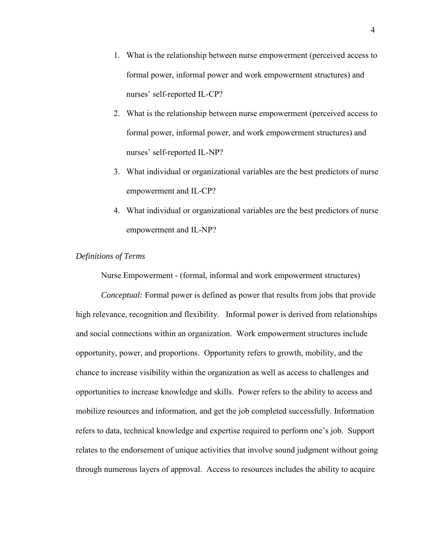- 1. What is the relationship between nurse empowerment (perceived access to formal power, informal power and work empowerment structures) and nurses' self-reported IL-CP?
- 2. What is the relationship between nurse empowerment (perceived access to formal power, informal power, and work empowerment structures) and nurses' self-reported IL-NP?
- 3. What individual or organizational variables are the best predictors of nurse empowerment and IL-CP?
- 4. What individual or organizational variables are the best predictors of nurse empowerment and IL-NP?

## *Definitions of Terms*

Nurse Empowerment - (formal, informal and work empowerment structures)

*Conceptual:* Formal power is defined as power that results from jobs that provide high relevance, recognition and flexibility. Informal power is derived from relationships and social connections within an organization. Work empowerment structures include opportunity, power, and proportions. Opportunity refers to growth, mobility, and the chance to increase visibility within the organization as well as access to challenges and opportunities to increase knowledge and skills. Power refers to the ability to access and mobilize resources and information, and get the job completed successfully. Information refers to data, technical knowledge and expertise required to perform one's job. Support relates to the endorsement of unique activities that involve sound judgment without going through numerous layers of approval. Access to resources includes the ability to acquire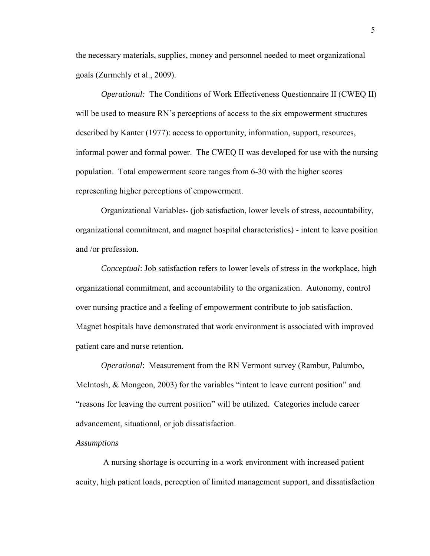the necessary materials, supplies, money and personnel needed to meet organizational goals (Zurmehly et al., 2009).

 *Operational:* The Conditions of Work Effectiveness Questionnaire II (CWEQ II) will be used to measure RN's perceptions of access to the six empowerment structures described by Kanter (1977): access to opportunity, information, support, resources, informal power and formal power. The CWEQ II was developed for use with the nursing population. Total empowerment score ranges from 6-30 with the higher scores representing higher perceptions of empowerment.

 organizational commitment, and magnet hospital characteristics) - intent to leave position Organizational Variables- (job satisfaction, lower levels of stress, accountability, and /or profession.

*Conceptual*: Job satisfaction refers to lower levels of stress in the workplace, high organizational commitment, and accountability to the organization. Autonomy, control over nursing practice and a feeling of empowerment contribute to job satisfaction. Magnet hospitals have demonstrated that work environment is associated with improved patient care and nurse retention.

*Operational*: Measurement from the RN Vermont survey (Rambur, Palumbo, McIntosh, & Mongeon, 2003) for the variables "intent to leave current position" and "reasons for leaving the current position" will be utilized. Categories include career advancement, situational, or job dissatisfaction.

#### *Assumptions*

A nursing shortage is occurring in a work environment with increased patient acuity, high patient loads, perception of limited management support, and dissatisfaction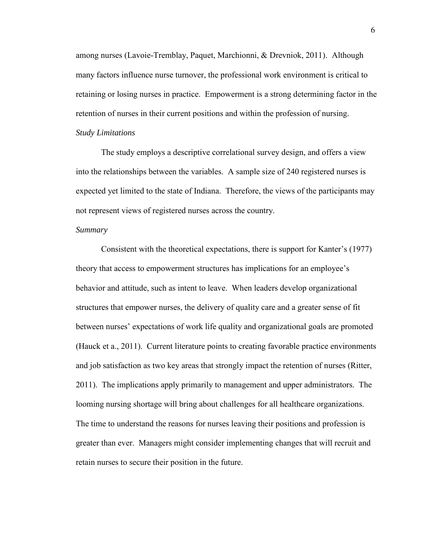among nurses (Lavoie-Tremblay, Paquet, Marchionni, & Drevniok, 2011). Although many factors influence nurse turnover, the professional work environment is critical to retaining or losing nurses in practice. Empowerment is a strong determining factor in the retention of nurses in their current positions and within the profession of nursing. *Study Limitations* 

 The study employs a descriptive correlational survey design, and offers a view into the relationships between the variables. A sample size of 240 registered nurses is expected yet limited to the state of Indiana. Therefore, the views of the participants may not represent views of registered nurses across the country.

## *Summary*

 structures that empower nurses, the delivery of quality care and a greater sense of fit Consistent with the theoretical expectations, there is support for Kanter's (1977) theory that access to empowerment structures has implications for an employee's behavior and attitude, such as intent to leave. When leaders develop organizational between nurses' expectations of work life quality and organizational goals are promoted (Hauck et a., 2011). Current literature points to creating favorable practice environments and job satisfaction as two key areas that strongly impact the retention of nurses (Ritter, 2011). The implications apply primarily to management and upper administrators. The looming nursing shortage will bring about challenges for all healthcare organizations. The time to understand the reasons for nurses leaving their positions and profession is greater than ever. Managers might consider implementing changes that will recruit and retain nurses to secure their position in the future.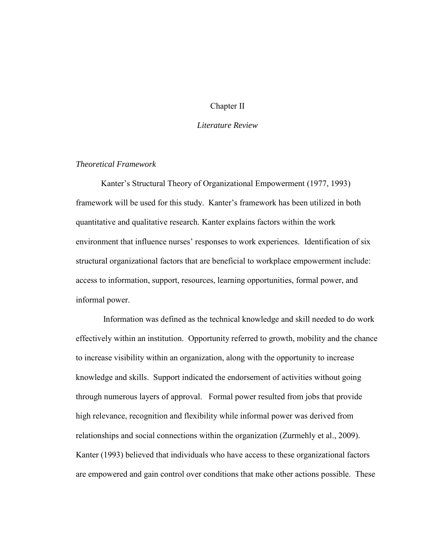## Chapter II

## *Literature Review*

## *Theoretical Framework*

Kanter's Structural Theory of Organizational Empowerment (1977, 1993) framework will be used for this study. Kanter's framework has been utilized in both quantitative and qualitative research. Kanter explains factors within the work environment that influence nurses' responses to work experiences. Identification of six structural organizational factors that are beneficial to workplace empowerment include: access to information, support, resources, learning opportunities, formal power, and informal power.

 effectively within an institution. Opportunity referred to growth, mobility and the chance relationships and social connections within the organization (Zurmehly et al., 2009). Information was defined as the technical knowledge and skill needed to do work to increase visibility within an organization, along with the opportunity to increase knowledge and skills. Support indicated the endorsement of activities without going through numerous layers of approval. Formal power resulted from jobs that provide high relevance, recognition and flexibility while informal power was derived from Kanter (1993) believed that individuals who have access to these organizational factors are empowered and gain control over conditions that make other actions possible. These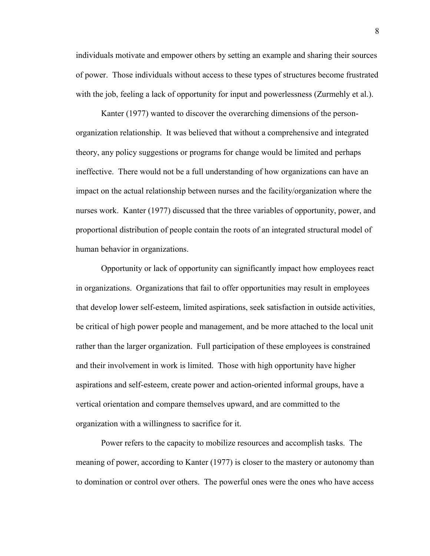individuals motivate and empower others by setting an example and sharing their sources of power. Those individuals without access to these types of structures become frustrated with the job, feeling a lack of opportunity for input and powerlessness (Zurmehly et al.).

 theory, any policy suggestions or programs for change would be limited and perhaps nurses work. Kanter (1977) discussed that the three variables of opportunity, power, and Kanter (1977) wanted to discover the overarching dimensions of the personorganization relationship. It was believed that without a comprehensive and integrated ineffective. There would not be a full understanding of how organizations can have an impact on the actual relationship between nurses and the facility/organization where the proportional distribution of people contain the roots of an integrated structural model of human behavior in organizations.

Opportunity or lack of opportunity can significantly impact how employees react in organizations. Organizations that fail to offer opportunities may result in employees that develop lower self-esteem, limited aspirations, seek satisfaction in outside activities, be critical of high power people and management, and be more attached to the local unit rather than the larger organization. Full participation of these employees is constrained and their involvement in work is limited. Those with high opportunity have higher aspirations and self-esteem, create power and action-oriented informal groups, have a vertical orientation and compare themselves upward, and are committed to the organization with a willingness to sacrifice for it.

 meaning of power, according to Kanter (1977) is closer to the mastery or autonomy than to domination or control over others. The powerful ones were the ones who have access Power refers to the capacity to mobilize resources and accomplish tasks. The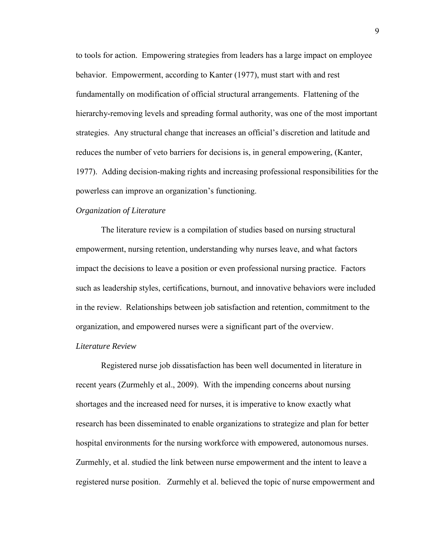hierarchy-removing levels and spreading formal authority, was one of the most important to tools for action. Empowering strategies from leaders has a large impact on employee behavior. Empowerment, according to Kanter (1977), must start with and rest fundamentally on modification of official structural arrangements. Flattening of the strategies. Any structural change that increases an official's discretion and latitude and reduces the number of veto barriers for decisions is, in general empowering, (Kanter, 1977). Adding decision-making rights and increasing professional responsibilities for the powerless can improve an organization's functioning.

## *Organization of Literature*

The literature review is a compilation of studies based on nursing structural empowerment, nursing retention, understanding why nurses leave, and what factors impact the decisions to leave a position or even professional nursing practice. Factors such as leadership styles, certifications, burnout, and innovative behaviors were included in the review. Relationships between job satisfaction and retention, commitment to the organization, and empowered nurses were a significant part of the overview.

## *Literature Review*

 recent years (Zurmehly et al., 2009). With the impending concerns about nursing hospital environments for the nursing workforce with empowered, autonomous nurses. registered nurse position. Zurmehly et al. believed the topic of nurse empowerment and Registered nurse job dissatisfaction has been well documented in literature in shortages and the increased need for nurses, it is imperative to know exactly what research has been disseminated to enable organizations to strategize and plan for better Zurmehly, et al. studied the link between nurse empowerment and the intent to leave a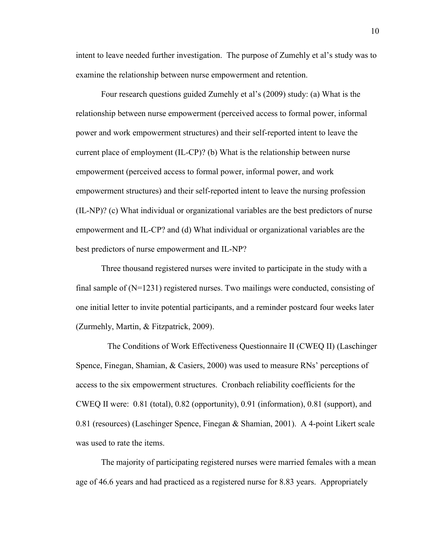intent to leave needed further investigation. The purpose of Zumehly et al's study was to examine the relationship between nurse empowerment and retention.

 current place of employment (IL-CP)? (b) What is the relationship between nurse empowerment structures) and their self-reported intent to leave the nursing profession empowerment and IL-CP? and (d) What individual or organizational variables are the best predictors of nurse empowerment and IL-NP? Four research questions guided Zumehly et al's (2009) study: (a) What is the relationship between nurse empowerment (perceived access to formal power, informal power and work empowerment structures) and their self-reported intent to leave the empowerment (perceived access to formal power, informal power, and work (IL-NP)? (c) What individual or organizational variables are the best predictors of nurse

 one initial letter to invite potential participants, and a reminder postcard four weeks later (Zurmehly, Martin, & Fitzpatrick, 2009). Three thousand registered nurses were invited to participate in the study with a final sample of (N=1231) registered nurses. Two mailings were conducted, consisting of

 0.81 (resources) (Laschinger Spence, Finegan & Shamian, 2001). A 4-point Likert scale The Conditions of Work Effectiveness Questionnaire II (CWEQ II) (Laschinger Spence, Finegan, Shamian, & Casiers, 2000) was used to measure RNs' perceptions of access to the six empowerment structures. Cronbach reliability coefficients for the CWEQ II were: 0.81 (total), 0.82 (opportunity), 0.91 (information), 0.81 (support), and was used to rate the items.

The majority of participating registered nurses were married females with a mean age of 46.6 years and had practiced as a registered nurse for 8.83 years. Appropriately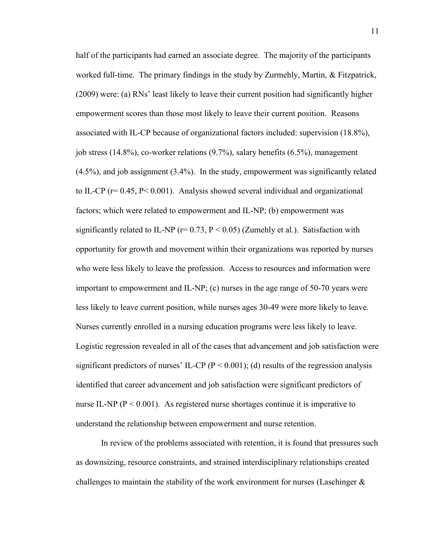worked full-time. The primary findings in the study by Zurmehly, Martin, & Fitzpatrick, significantly related to IL-NP ( $r= 0.73$ ,  $P < 0.05$ ) (Zumehly et al.). Satisfaction with important to empowerment and IL-NP; (c) nurses in the age range of 50-70 years were Nurses currently enrolled in a nursing education programs were less likely to leave. nurse IL-NP ( $P < 0.001$ ). As registered nurse shortages continue it is imperative to half of the participants had earned an associate degree. The majority of the participants (2009) were: (a) RNs' least likely to leave their current position had significantly higher empowerment scores than those most likely to leave their current position. Reasons associated with IL-CP because of organizational factors included: supervision (18.8%), job stress (14.8%), co-worker relations (9.7%), salary benefits (6.5%), management (4.5%), and job assignment (3.4%). In the study, empowerment was significantly related to IL-CP ( $r= 0.45$ ,  $P< 0.001$ ). Analysis showed several individual and organizational factors; which were related to empowerment and IL-NP; (b) empowerment was opportunity for growth and movement within their organizations was reported by nurses who were less likely to leave the profession. Access to resources and information were less likely to leave current position, while nurses ages 30-49 were more likely to leave. Logistic regression revealed in all of the cases that advancement and job satisfaction were significant predictors of nurses' IL-CP ( $P < 0.001$ ); (d) results of the regression analysis identified that career advancement and job satisfaction were significant predictors of understand the relationship between empowerment and nurse retention.

 challenges to maintain the stability of the work environment for nurses (Laschinger & In review of the problems associated with retention, it is found that pressures such as downsizing, resource constraints, and strained interdisciplinary relationships created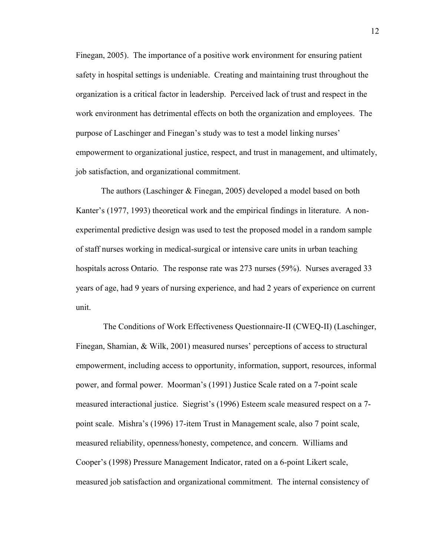Finegan, 2005). The importance of a positive work environment for ensuring patient safety in hospital settings is undeniable. Creating and maintaining trust throughout the organization is a critical factor in leadership. Perceived lack of trust and respect in the work environment has detrimental effects on both the organization and employees. The purpose of Laschinger and Finegan's study was to test a model linking nurses' empowerment to organizational justice, respect, and trust in management, and ultimately, job satisfaction, and organizational commitment.

 years of age, had 9 years of nursing experience, and had 2 years of experience on current The authors (Laschinger & Finegan, 2005) developed a model based on both Kanter's (1977, 1993) theoretical work and the empirical findings in literature. A nonexperimental predictive design was used to test the proposed model in a random sample of staff nurses working in medical-surgical or intensive care units in urban teaching hospitals across Ontario. The response rate was 273 nurses (59%). Nurses averaged 33 unit.

 empowerment, including access to opportunity, information, support, resources, informal measured interactional justice. Siegrist's (1996) Esteem scale measured respect on a 7- point scale. Mishra's (1996) 17-item Trust in Management scale, also 7 point scale, Cooper's (1998) Pressure Management Indicator, rated on a 6-point Likert scale, measured job satisfaction and organizational commitment. The internal consistency of The Conditions of Work Effectiveness Questionnaire-II (CWEQ-II) (Laschinger, Finegan, Shamian, & Wilk, 2001) measured nurses' perceptions of access to structural power, and formal power. Moorman's (1991) Justice Scale rated on a 7-point scale measured reliability, openness/honesty, competence, and concern. Williams and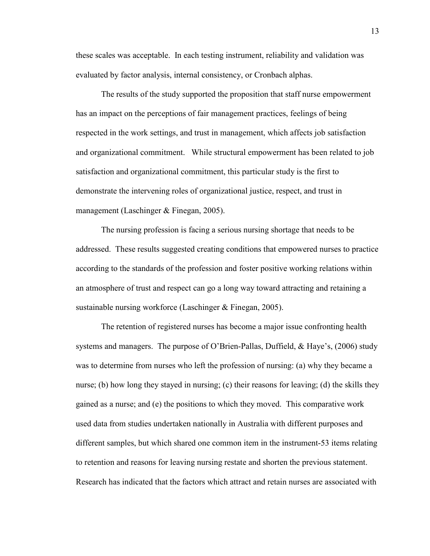these scales was acceptable. In each testing instrument, reliability and validation was evaluated by factor analysis, internal consistency, or Cronbach alphas.

The results of the study supported the proposition that staff nurse empowerment has an impact on the perceptions of fair management practices, feelings of being respected in the work settings, and trust in management, which affects job satisfaction and organizational commitment. While structural empowerment has been related to job satisfaction and organizational commitment, this particular study is the first to demonstrate the intervening roles of organizational justice, respect, and trust in management (Laschinger & Finegan, 2005).

 addressed. These results suggested creating conditions that empowered nurses to practice an atmosphere of trust and respect can go a long way toward attracting and retaining a sustainable nursing workforce (Laschinger & Finegan, 2005). The nursing profession is facing a serious nursing shortage that needs to be according to the standards of the profession and foster positive working relations within

 systems and managers. The purpose of O'Brien-Pallas, Duffield, & Haye's, (2006) study The retention of registered nurses has become a major issue confronting health was to determine from nurses who left the profession of nursing: (a) why they became a nurse; (b) how long they stayed in nursing; (c) their reasons for leaving; (d) the skills they gained as a nurse; and (e) the positions to which they moved. This comparative work used data from studies undertaken nationally in Australia with different purposes and different samples, but which shared one common item in the instrument-53 items relating to retention and reasons for leaving nursing restate and shorten the previous statement. Research has indicated that the factors which attract and retain nurses are associated with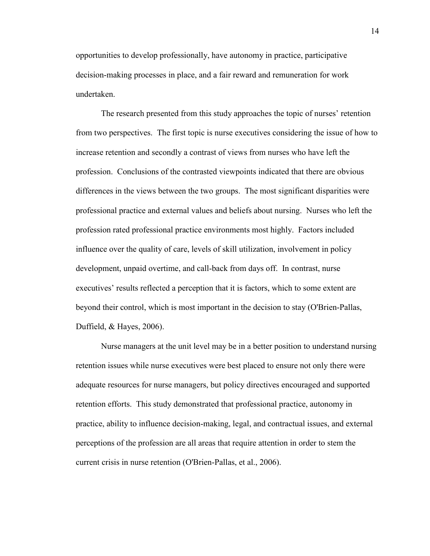opportunities to develop professionally, have autonomy in practice, participative decision-making processes in place, and a fair reward and remuneration for work undertaken.

 from two perspectives. The first topic is nurse executives considering the issue of how to influence over the quality of care, levels of skill utilization, involvement in policy development, unpaid overtime, and call-back from days off. In contrast, nurse The research presented from this study approaches the topic of nurses' retention increase retention and secondly a contrast of views from nurses who have left the profession. Conclusions of the contrasted viewpoints indicated that there are obvious differences in the views between the two groups. The most significant disparities were professional practice and external values and beliefs about nursing. Nurses who left the profession rated professional practice environments most highly. Factors included executives' results reflected a perception that it is factors, which to some extent are beyond their control, which is most important in the decision to stay (O'Brien-Pallas, Duffield, & Hayes, 2006).

 retention issues while nurse executives were best placed to ensure not only there were Nurse managers at the unit level may be in a better position to understand nursing adequate resources for nurse managers, but policy directives encouraged and supported retention efforts. This study demonstrated that professional practice, autonomy in practice, ability to influence decision-making, legal, and contractual issues, and external perceptions of the profession are all areas that require attention in order to stem the current crisis in nurse retention (O'Brien-Pallas, et al., 2006).

14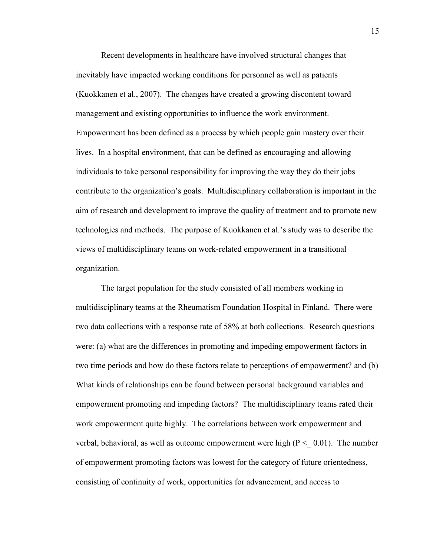(Kuokkanen et al., 2007). The changes have created a growing discontent toward Recent developments in healthcare have involved structural changes that inevitably have impacted working conditions for personnel as well as patients management and existing opportunities to influence the work environment. Empowerment has been defined as a process by which people gain mastery over their lives. In a hospital environment, that can be defined as encouraging and allowing individuals to take personal responsibility for improving the way they do their jobs contribute to the organization's goals. Multidisciplinary collaboration is important in the aim of research and development to improve the quality of treatment and to promote new technologies and methods. The purpose of Kuokkanen et al.'s study was to describe the views of multidisciplinary teams on work-related empowerment in a transitional organization.

 two time periods and how do these factors relate to perceptions of empowerment? and (b) The target population for the study consisted of all members working in multidisciplinary teams at the Rheumatism Foundation Hospital in Finland. There were two data collections with a response rate of 58% at both collections. Research questions were: (a) what are the differences in promoting and impeding empowerment factors in What kinds of relationships can be found between personal background variables and empowerment promoting and impeding factors? The multidisciplinary teams rated their work empowerment quite highly. The correlations between work empowerment and verbal, behavioral, as well as outcome empowerment were high ( $P < 0.01$ ). The number of empowerment promoting factors was lowest for the category of future orientedness, consisting of continuity of work, opportunities for advancement, and access to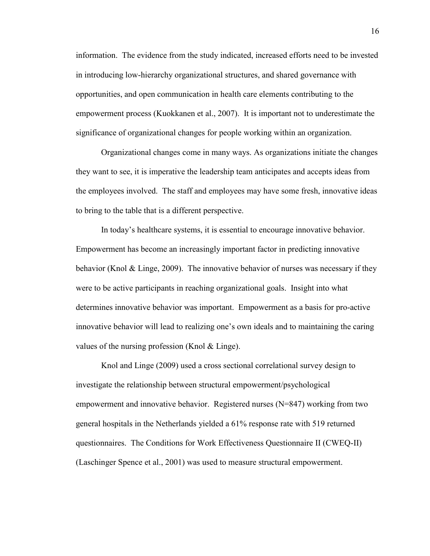information. The evidence from the study indicated, increased efforts need to be invested in introducing low-hierarchy organizational structures, and shared governance with opportunities, and open communication in health care elements contributing to the empowerment process (Kuokkanen et al., 2007). It is important not to underestimate the significance of organizational changes for people working within an organization.

Organizational changes come in many ways. As organizations initiate the changes they want to see, it is imperative the leadership team anticipates and accepts ideas from the employees involved. The staff and employees may have some fresh, innovative ideas to bring to the table that is a different perspective.

 values of the nursing profession (Knol & Linge). In today's healthcare systems, it is essential to encourage innovative behavior. Empowerment has become an increasingly important factor in predicting innovative behavior (Knol & Linge, 2009). The innovative behavior of nurses was necessary if they were to be active participants in reaching organizational goals. Insight into what determines innovative behavior was important. Empowerment as a basis for pro-active innovative behavior will lead to realizing one's own ideals and to maintaining the caring

 questionnaires. The Conditions for Work Effectiveness Questionnaire II (CWEQ-II) (Laschinger Spence et al., 2001) was used to measure structural empowerment. Knol and Linge (2009) used a cross sectional correlational survey design to investigate the relationship between structural empowerment/psychological empowerment and innovative behavior. Registered nurses (N=847) working from two general hospitals in the Netherlands yielded a 61% response rate with 519 returned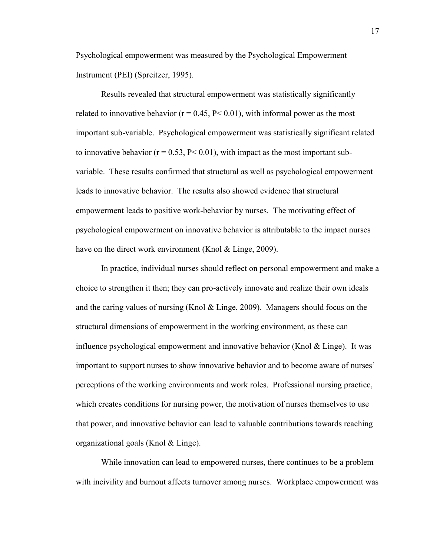Psychological empowerment was measured by the Psychological Empowerment Instrument (PEI) (Spreitzer, 1995).

have on the direct work environment (Knol & Linge, 2009). Results revealed that structural empowerment was statistically significantly related to innovative behavior ( $r = 0.45$ ,  $P < 0.01$ ), with informal power as the most important sub-variable. Psychological empowerment was statistically significant related to innovative behavior ( $r = 0.53$ ,  $P < 0.01$ ), with impact as the most important subvariable. These results confirmed that structural as well as psychological empowerment leads to innovative behavior. The results also showed evidence that structural empowerment leads to positive work-behavior by nurses. The motivating effect of psychological empowerment on innovative behavior is attributable to the impact nurses

 and the caring values of nursing (Knol & Linge, 2009). Managers should focus on the organizational goals (Knol & Linge). In practice, individual nurses should reflect on personal empowerment and make a choice to strengthen it then; they can pro-actively innovate and realize their own ideals structural dimensions of empowerment in the working environment, as these can influence psychological empowerment and innovative behavior (Knol  $&$  Linge). It was important to support nurses to show innovative behavior and to become aware of nurses' perceptions of the working environments and work roles. Professional nursing practice, which creates conditions for nursing power, the motivation of nurses themselves to use that power, and innovative behavior can lead to valuable contributions towards reaching

While innovation can lead to empowered nurses, there continues to be a problem with incivility and burnout affects turnover among nurses. Workplace empowerment was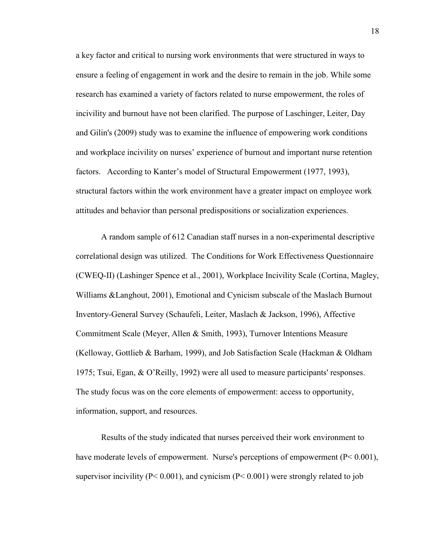factors. According to Kanter's model of Structural Empowerment (1977, 1993), a key factor and critical to nursing work environments that were structured in ways to ensure a feeling of engagement in work and the desire to remain in the job. While some research has examined a variety of factors related to nurse empowerment, the roles of incivility and burnout have not been clarified. The purpose of Laschinger, Leiter, Day and Gilin's (2009) study was to examine the influence of empowering work conditions and workplace incivility on nurses' experience of burnout and important nurse retention structural factors within the work environment have a greater impact on employee work attitudes and behavior than personal predispositions or socialization experiences.

 1975; Tsui, Egan, & O'Reilly, 1992) were all used to measure participants' responses. A random sample of 612 Canadian staff nurses in a non-experimental descriptive correlational design was utilized. The Conditions for Work Effectiveness Questionnaire (CWEQ-II) (Lashinger Spence et al., 2001), Workplace Incivility Scale (Cortina, Magley, Williams &Langhout, 2001), Emotional and Cynicism subscale of the Maslach Burnout Inventory-General Survey (Schaufeli, Leiter, Maslach & Jackson, 1996), Affective Commitment Scale (Meyer, Allen & Smith, 1993), Turnover Intentions Measure (Kelloway, Gottlieb & Barham, 1999), and Job Satisfaction Scale (Hackman & Oldham The study focus was on the core elements of empowerment: access to opportunity, information, support, and resources.

Results of the study indicated that nurses perceived their work environment to have moderate levels of empowerment. Nurse's perceptions of empowerment (P< 0.001), supervisor incivility ( $P < 0.001$ ), and cynicism ( $P < 0.001$ ) were strongly related to job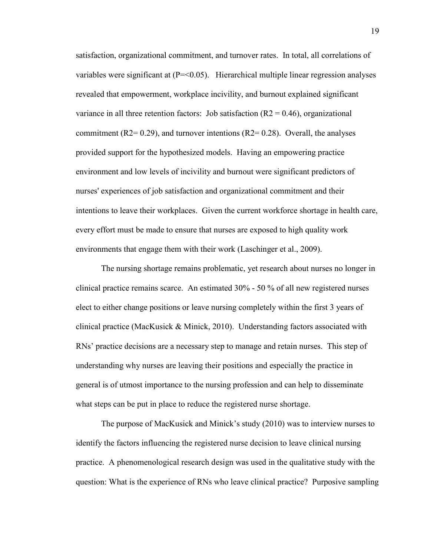environments that engage them with their work (Laschinger et al., 2009). satisfaction, organizational commitment, and turnover rates. In total, all correlations of variables were significant at  $(P = 0.05)$ . Hierarchical multiple linear regression analyses revealed that empowerment, workplace incivility, and burnout explained significant variance in all three retention factors: Job satisfaction  $(R2 = 0.46)$ , organizational commitment ( $R2=0.29$ ), and turnover intentions ( $R2=0.28$ ). Overall, the analyses provided support for the hypothesized models. Having an empowering practice environment and low levels of incivility and burnout were significant predictors of nurses' experiences of job satisfaction and organizational commitment and their intentions to leave their workplaces. Given the current workforce shortage in health care, every effort must be made to ensure that nurses are exposed to high quality work

 clinical practice remains scarce. An estimated 30% - 50 % of all new registered nurses The nursing shortage remains problematic, yet research about nurses no longer in elect to either change positions or leave nursing completely within the first 3 years of clinical practice (MacKusick & Minick, 2010). Understanding factors associated with RNs' practice decisions are a necessary step to manage and retain nurses. This step of understanding why nurses are leaving their positions and especially the practice in general is of utmost importance to the nursing profession and can help to disseminate what steps can be put in place to reduce the registered nurse shortage.

 The purpose of MacKusick and Minick's study (2010) was to interview nurses to identify the factors influencing the registered nurse decision to leave clinical nursing practice. A phenomenological research design was used in the qualitative study with the question: What is the experience of RNs who leave clinical practice? Purposive sampling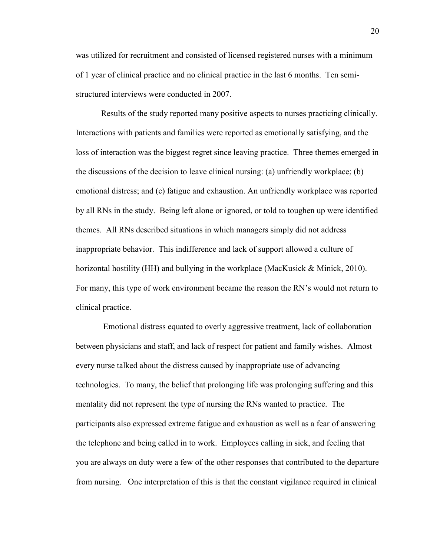was utilized for recruitment and consisted of licensed registered nurses with a minimum of 1 year of clinical practice and no clinical practice in the last 6 months. Ten semistructured interviews were conducted in 2007.

 horizontal hostility (HH) and bullying in the workplace (MacKusick & Minick, 2010). Results of the study reported many positive aspects to nurses practicing clinically. Interactions with patients and families were reported as emotionally satisfying, and the loss of interaction was the biggest regret since leaving practice. Three themes emerged in the discussions of the decision to leave clinical nursing: (a) unfriendly workplace; (b) emotional distress; and (c) fatigue and exhaustion. An unfriendly workplace was reported by all RNs in the study. Being left alone or ignored, or told to toughen up were identified themes. All RNs described situations in which managers simply did not address inappropriate behavior. This indifference and lack of support allowed a culture of For many, this type of work environment became the reason the RN's would not return to clinical practice.

 the telephone and being called in to work. Employees calling in sick, and feeling that you are always on duty were a few of the other responses that contributed to the departure Emotional distress equated to overly aggressive treatment, lack of collaboration between physicians and staff, and lack of respect for patient and family wishes. Almost every nurse talked about the distress caused by inappropriate use of advancing technologies. To many, the belief that prolonging life was prolonging suffering and this mentality did not represent the type of nursing the RNs wanted to practice. The participants also expressed extreme fatigue and exhaustion as well as a fear of answering from nursing. One interpretation of this is that the constant vigilance required in clinical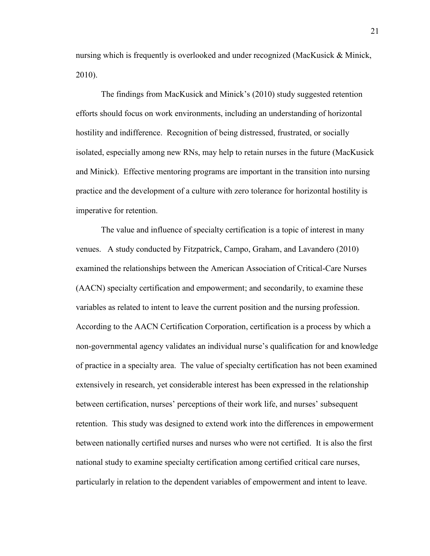nursing which is frequently is overlooked and under recognized (MacKusick & Minick, 2010).

 imperative for retention. The findings from MacKusick and Minick's (2010) study suggested retention efforts should focus on work environments, including an understanding of horizontal hostility and indifference. Recognition of being distressed, frustrated, or socially isolated, especially among new RNs, may help to retain nurses in the future (MacKusick and Minick). Effective mentoring programs are important in the transition into nursing practice and the development of a culture with zero tolerance for horizontal hostility is

The value and influence of specialty certification is a topic of interest in many venues. A study conducted by Fitzpatrick, Campo, Graham, and Lavandero (2010) examined the relationships between the American Association of Critical-Care Nurses (AACN) specialty certification and empowerment; and secondarily, to examine these variables as related to intent to leave the current position and the nursing profession. According to the AACN Certification Corporation, certification is a process by which a non-governmental agency validates an individual nurse's qualification for and knowledge of practice in a specialty area. The value of specialty certification has not been examined extensively in research, yet considerable interest has been expressed in the relationship between certification, nurses' perceptions of their work life, and nurses' subsequent retention. This study was designed to extend work into the differences in empowerment between nationally certified nurses and nurses who were not certified. It is also the first national study to examine specialty certification among certified critical care nurses, particularly in relation to the dependent variables of empowerment and intent to leave.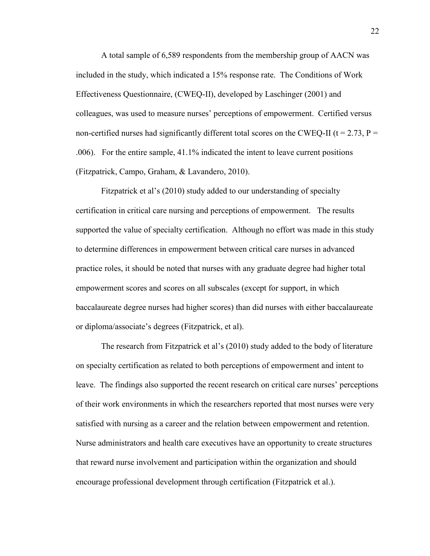A total sample of 6,589 respondents from the membership group of AACN was included in the study, which indicated a 15% response rate. The Conditions of Work Effectiveness Questionnaire, (CWEQ-II), developed by Laschinger (2001) and colleagues, was used to measure nurses' perceptions of empowerment. Certified versus non-certified nurses had significantly different total scores on the CWEQ-II ( $t = 2.73$ ,  $P =$ .006). For the entire sample, 41.1% indicated the intent to leave current positions (Fitzpatrick, Campo, Graham, & Lavandero, 2010).

 or diploma/associate's degrees (Fitzpatrick, et al). Fitzpatrick et al's (2010) study added to our understanding of specialty certification in critical care nursing and perceptions of empowerment. The results supported the value of specialty certification. Although no effort was made in this study to determine differences in empowerment between critical care nurses in advanced practice roles, it should be noted that nurses with any graduate degree had higher total empowerment scores and scores on all subscales (except for support, in which baccalaureate degree nurses had higher scores) than did nurses with either baccalaureate

 The research from Fitzpatrick et al's (2010) study added to the body of literature satisfied with nursing as a career and the relation between empowerment and retention. Nurse administrators and health care executives have an opportunity to create structures on specialty certification as related to both perceptions of empowerment and intent to leave. The findings also supported the recent research on critical care nurses' perceptions of their work environments in which the researchers reported that most nurses were very that reward nurse involvement and participation within the organization and should encourage professional development through certification (Fitzpatrick et al.).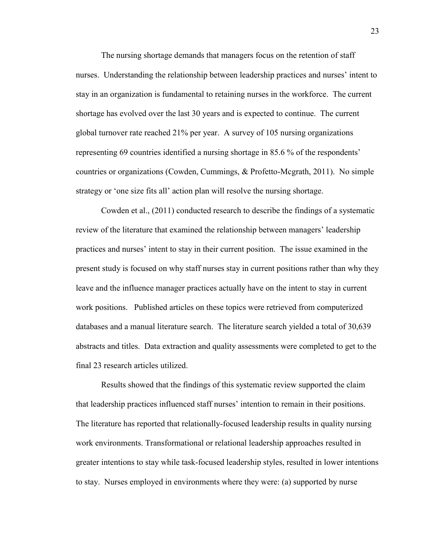The nursing shortage demands that managers focus on the retention of staff nurses. Understanding the relationship between leadership practices and nurses' intent to stay in an organization is fundamental to retaining nurses in the workforce. The current shortage has evolved over the last 30 years and is expected to continue. The current global turnover rate reached 21% per year. A survey of 105 nursing organizations representing 69 countries identified a nursing shortage in 85.6 % of the respondents' countries or organizations (Cowden, Cummings, & Profetto-Mcgrath, 2011). No simple strategy or 'one size fits all' action plan will resolve the nursing shortage.

 databases and a manual literature search. The literature search yielded a total of 30,639 Cowden et al., (2011) conducted research to describe the findings of a systematic review of the literature that examined the relationship between managers' leadership practices and nurses' intent to stay in their current position. The issue examined in the present study is focused on why staff nurses stay in current positions rather than why they leave and the influence manager practices actually have on the intent to stay in current work positions. Published articles on these topics were retrieved from computerized abstracts and titles. Data extraction and quality assessments were completed to get to the final 23 research articles utilized.

 Results showed that the findings of this systematic review supported the claim that leadership practices influenced staff nurses' intention to remain in their positions. The literature has reported that relationally-focused leadership results in quality nursing work environments. Transformational or relational leadership approaches resulted in greater intentions to stay while task-focused leadership styles, resulted in lower intentions to stay. Nurses employed in environments where they were: (a) supported by nurse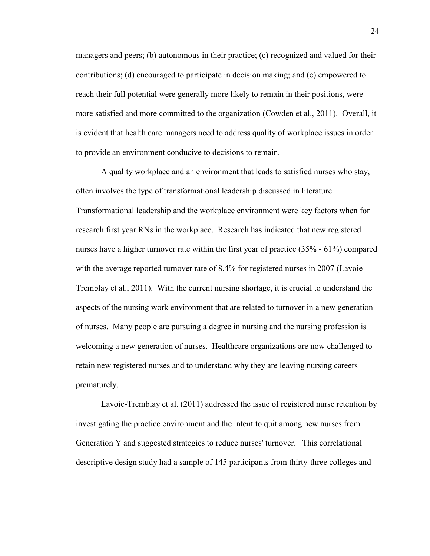contributions; (d) encouraged to participate in decision making; and (e) empowered to managers and peers; (b) autonomous in their practice; (c) recognized and valued for their reach their full potential were generally more likely to remain in their positions, were more satisfied and more committed to the organization (Cowden et al., 2011). Overall, it is evident that health care managers need to address quality of workplace issues in order to provide an environment conducive to decisions to remain.

 retain new registered nurses and to understand why they are leaving nursing careers A quality workplace and an environment that leads to satisfied nurses who stay, often involves the type of transformational leadership discussed in literature. Transformational leadership and the workplace environment were key factors when for research first year RNs in the workplace. Research has indicated that new registered nurses have a higher turnover rate within the first year of practice (35% - 61%) compared with the average reported turnover rate of 8.4% for registered nurses in 2007 (Lavoie-Tremblay et al., 2011). With the current nursing shortage, it is crucial to understand the aspects of the nursing work environment that are related to turnover in a new generation of nurses. Many people are pursuing a degree in nursing and the nursing profession is welcoming a new generation of nurses. Healthcare organizations are now challenged to prematurely.

 descriptive design study had a sample of 145 participants from thirty-three colleges and Lavoie-Tremblay et al. (2011) addressed the issue of registered nurse retention by investigating the practice environment and the intent to quit among new nurses from Generation Y and suggested strategies to reduce nurses' turnover. This correlational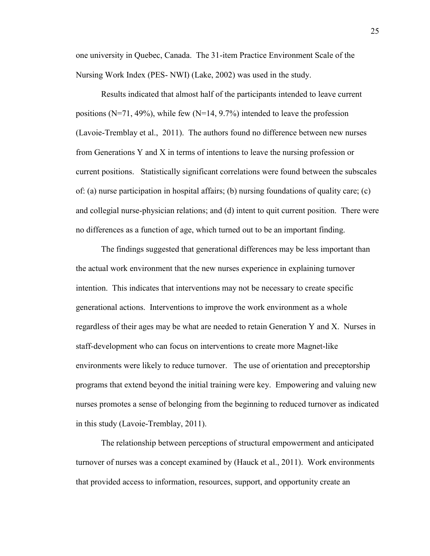one university in Quebec, Canada. The 31-item Practice Environment Scale of the Nursing Work Index (PES- NWI) (Lake, 2002) was used in the study.

 and collegial nurse-physician relations; and (d) intent to quit current position. There were Results indicated that almost half of the participants intended to leave current positions (N=71, 49%), while few (N=14, 9.7%) intended to leave the profession (Lavoie-Tremblay et al., 2011). The authors found no difference between new nurses from Generations Y and X in terms of intentions to leave the nursing profession or current positions. Statistically significant correlations were found between the subscales of: (a) nurse participation in hospital affairs; (b) nursing foundations of quality care; (c) no differences as a function of age, which turned out to be an important finding.

 generational actions. Interventions to improve the work environment as a whole The findings suggested that generational differences may be less important than the actual work environment that the new nurses experience in explaining turnover intention. This indicates that interventions may not be necessary to create specific regardless of their ages may be what are needed to retain Generation Y and X. Nurses in staff-development who can focus on interventions to create more Magnet-like environments were likely to reduce turnover. The use of orientation and preceptorship programs that extend beyond the initial training were key. Empowering and valuing new nurses promotes a sense of belonging from the beginning to reduced turnover as indicated in this study (Lavoie-Tremblay, 2011).

The relationship between perceptions of structural empowerment and anticipated turnover of nurses was a concept examined by (Hauck et al., 2011). Work environments that provided access to information, resources, support, and opportunity create an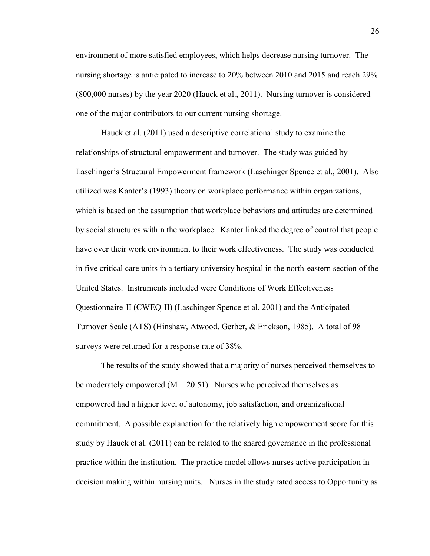environment of more satisfied employees, which helps decrease nursing turnover. The nursing shortage is anticipated to increase to 20% between 2010 and 2015 and reach 29% (800,000 nurses) by the year 2020 (Hauck et al., 2011). Nursing turnover is considered one of the major contributors to our current nursing shortage.

 Questionnaire-II (CWEQ-II) (Laschinger Spence et al, 2001) and the Anticipated Hauck et al. (2011) used a descriptive correlational study to examine the relationships of structural empowerment and turnover. The study was guided by Laschinger's Structural Empowerment framework (Laschinger Spence et al., 2001). Also utilized was Kanter's (1993) theory on workplace performance within organizations, which is based on the assumption that workplace behaviors and attitudes are determined by social structures within the workplace. Kanter linked the degree of control that people have over their work environment to their work effectiveness. The study was conducted in five critical care units in a tertiary university hospital in the north-eastern section of the United States. Instruments included were Conditions of Work Effectiveness Turnover Scale (ATS) (Hinshaw, Atwood, Gerber, & Erickson, 1985). A total of 98 surveys were returned for a response rate of 38%.

The results of the study showed that a majority of nurses perceived themselves to be moderately empowered ( $M = 20.51$ ). Nurses who perceived themselves as empowered had a higher level of autonomy, job satisfaction, and organizational commitment. A possible explanation for the relatively high empowerment score for this study by Hauck et al. (2011) can be related to the shared governance in the professional practice within the institution. The practice model allows nurses active participation in decision making within nursing units. Nurses in the study rated access to Opportunity as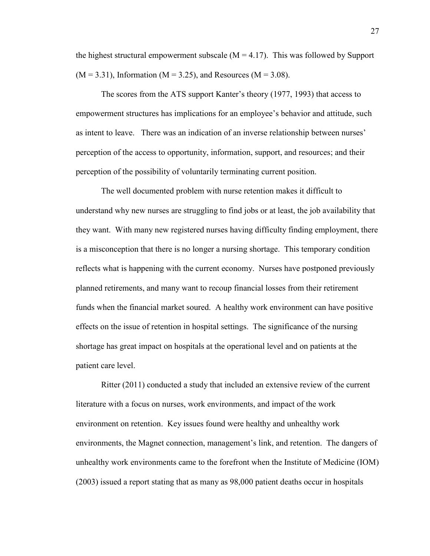$(M = 3.31)$ , Information  $(M = 3.25)$ , and Resources  $(M = 3.08)$ . the highest structural empowerment subscale  $(M = 4.17)$ . This was followed by Support

 perception of the access to opportunity, information, support, and resources; and their The scores from the ATS support Kanter's theory (1977, 1993) that access to empowerment structures has implications for an employee's behavior and attitude, such as intent to leave. There was an indication of an inverse relationship between nurses' perception of the possibility of voluntarily terminating current position.

The well documented problem with nurse retention makes it difficult to understand why new nurses are struggling to find jobs or at least, the job availability that they want. With many new registered nurses having difficulty finding employment, there is a misconception that there is no longer a nursing shortage. This temporary condition reflects what is happening with the current economy. Nurses have postponed previously planned retirements, and many want to recoup financial losses from their retirement funds when the financial market soured. A healthy work environment can have positive effects on the issue of retention in hospital settings. The significance of the nursing shortage has great impact on hospitals at the operational level and on patients at the patient care level.

 environment on retention. Key issues found were healthy and unhealthy work environments, the Magnet connection, management's link, and retention. The dangers of Ritter (2011) conducted a study that included an extensive review of the current literature with a focus on nurses, work environments, and impact of the work unhealthy work environments came to the forefront when the Institute of Medicine (IOM) (2003) issued a report stating that as many as 98,000 patient deaths occur in hospitals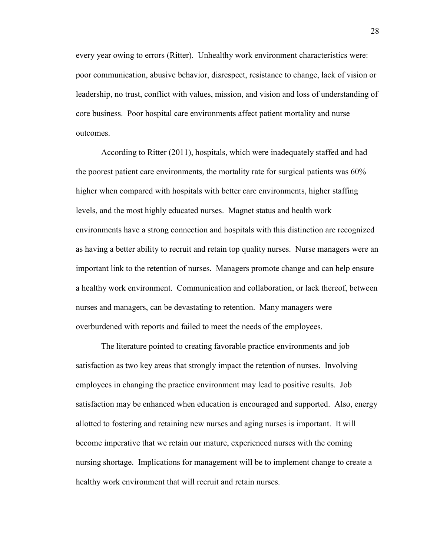every year owing to errors (Ritter). Unhealthy work environment characteristics were: poor communication, abusive behavior, disrespect, resistance to change, lack of vision or leadership, no trust, conflict with values, mission, and vision and loss of understanding of core business. Poor hospital care environments affect patient mortality and nurse outcomes.

 as having a better ability to recruit and retain top quality nurses. Nurse managers were an According to Ritter (2011), hospitals, which were inadequately staffed and had the poorest patient care environments, the mortality rate for surgical patients was 60% higher when compared with hospitals with better care environments, higher staffing levels, and the most highly educated nurses. Magnet status and health work environments have a strong connection and hospitals with this distinction are recognized important link to the retention of nurses. Managers promote change and can help ensure a healthy work environment. Communication and collaboration, or lack thereof, between nurses and managers, can be devastating to retention. Many managers were overburdened with reports and failed to meet the needs of the employees.

The literature pointed to creating favorable practice environments and job satisfaction as two key areas that strongly impact the retention of nurses. Involving employees in changing the practice environment may lead to positive results. Job satisfaction may be enhanced when education is encouraged and supported. Also, energy allotted to fostering and retaining new nurses and aging nurses is important. It will become imperative that we retain our mature, experienced nurses with the coming nursing shortage. Implications for management will be to implement change to create a healthy work environment that will recruit and retain nurses.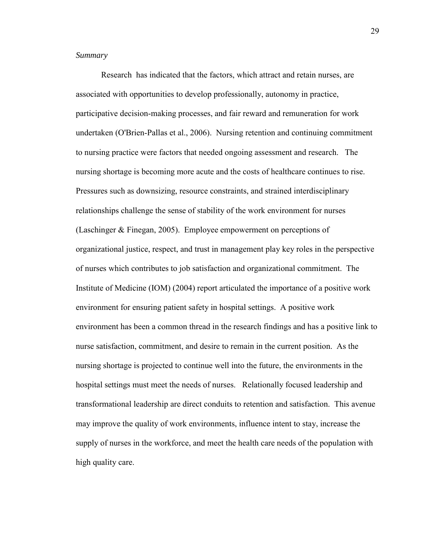## *Summary*

 undertaken (O'Brien-Pallas et al., 2006). Nursing retention and continuing commitment nursing shortage is becoming more acute and the costs of healthcare continues to rise. (Laschinger & Finegan, 2005). Employee empowerment on perceptions of Research has indicated that the factors, which attract and retain nurses, are associated with opportunities to develop professionally, autonomy in practice, participative decision-making processes, and fair reward and remuneration for work to nursing practice were factors that needed ongoing assessment and research. The Pressures such as downsizing, resource constraints, and strained interdisciplinary relationships challenge the sense of stability of the work environment for nurses organizational justice, respect, and trust in management play key roles in the perspective of nurses which contributes to job satisfaction and organizational commitment. The Institute of Medicine (IOM) (2004) report articulated the importance of a positive work environment for ensuring patient safety in hospital settings. A positive work environment has been a common thread in the research findings and has a positive link to nurse satisfaction, commitment, and desire to remain in the current position. As the nursing shortage is projected to continue well into the future, the environments in the hospital settings must meet the needs of nurses. Relationally focused leadership and transformational leadership are direct conduits to retention and satisfaction. This avenue may improve the quality of work environments, influence intent to stay, increase the supply of nurses in the workforce, and meet the health care needs of the population with high quality care.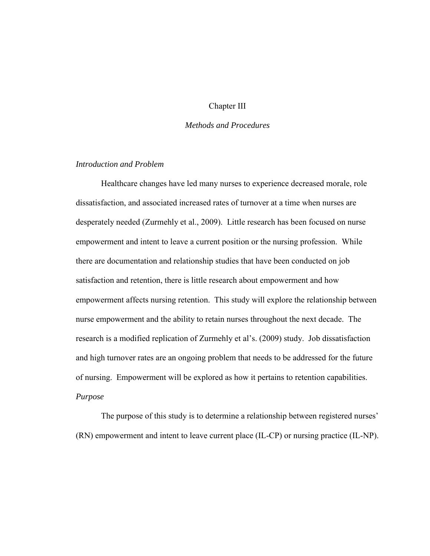## Chapter III

## *Methods and Procedures*

## *Introduction and Problem*

 satisfaction and retention, there is little research about empowerment and how Healthcare changes have led many nurses to experience decreased morale, role dissatisfaction, and associated increased rates of turnover at a time when nurses are desperately needed (Zurmehly et al., 2009). Little research has been focused on nurse empowerment and intent to leave a current position or the nursing profession. While there are documentation and relationship studies that have been conducted on job empowerment affects nursing retention. This study will explore the relationship between nurse empowerment and the ability to retain nurses throughout the next decade. The research is a modified replication of Zurmehly et al's. (2009) study. Job dissatisfaction and high turnover rates are an ongoing problem that needs to be addressed for the future of nursing. Empowerment will be explored as how it pertains to retention capabilities. *Purpose* 

The purpose of this study is to determine a relationship between registered nurses' (RN) empowerment and intent to leave current place (IL-CP) or nursing practice (IL-NP).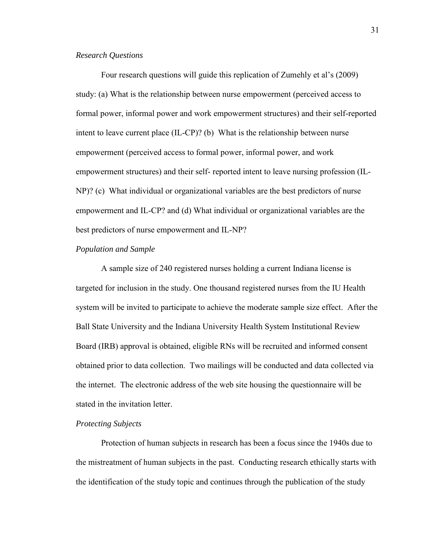#### *Research Questions*

Four research questions will guide this replication of Zumehly et al's (2009) study: (a) What is the relationship between nurse empowerment (perceived access to formal power, informal power and work empowerment structures) and their self-reported intent to leave current place (IL-CP)? (b) What is the relationship between nurse empowerment (perceived access to formal power, informal power, and work empowerment structures) and their self- reported intent to leave nursing profession (IL-NP)? (c) What individual or organizational variables are the best predictors of nurse empowerment and IL-CP? and (d) What individual or organizational variables are the best predictors of nurse empowerment and IL-NP?

## *Population and Sample*

 system will be invited to participate to achieve the moderate sample size effect. After the A sample size of 240 registered nurses holding a current Indiana license is targeted for inclusion in the study. One thousand registered nurses from the IU Health Ball State University and the Indiana University Health System Institutional Review Board (IRB) approval is obtained, eligible RNs will be recruited and informed consent obtained prior to data collection. Two mailings will be conducted and data collected via the internet. The electronic address of the web site housing the questionnaire will be stated in the invitation letter.

## *Protecting Subjects*

 the mistreatment of human subjects in the past. Conducting research ethically starts with Protection of human subjects in research has been a focus since the 1940s due to the identification of the study topic and continues through the publication of the study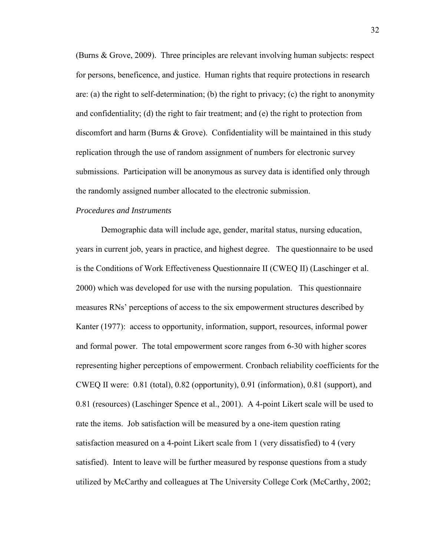discomfort and harm (Burns & Grove). Confidentiality will be maintained in this study (Burns & Grove, 2009). Three principles are relevant involving human subjects: respect for persons, beneficence, and justice. Human rights that require protections in research are: (a) the right to self-determination; (b) the right to privacy; (c) the right to anonymity and confidentiality; (d) the right to fair treatment; and (e) the right to protection from replication through the use of random assignment of numbers for electronic survey submissions. Participation will be anonymous as survey data is identified only through the randomly assigned number allocated to the electronic submission.

## *Procedures and Instruments*

 is the Conditions of Work Effectiveness Questionnaire II (CWEQ II) (Laschinger et al. Demographic data will include age, gender, marital status, nursing education, years in current job, years in practice, and highest degree. The questionnaire to be used 2000) which was developed for use with the nursing population. This questionnaire measures RNs' perceptions of access to the six empowerment structures described by Kanter (1977): access to opportunity, information, support, resources, informal power and formal power. The total empowerment score ranges from 6-30 with higher scores representing higher perceptions of empowerment. Cronbach reliability coefficients for the CWEQ II were: 0.81 (total), 0.82 (opportunity), 0.91 (information), 0.81 (support), and 0.81 (resources) (Laschinger Spence et al., 2001). A 4-point Likert scale will be used to rate the items. Job satisfaction will be measured by a one-item question rating satisfaction measured on a 4-point Likert scale from 1 (very dissatisfied) to 4 (very satisfied). Intent to leave will be further measured by response questions from a study utilized by McCarthy and colleagues at The University College Cork (McCarthy, 2002;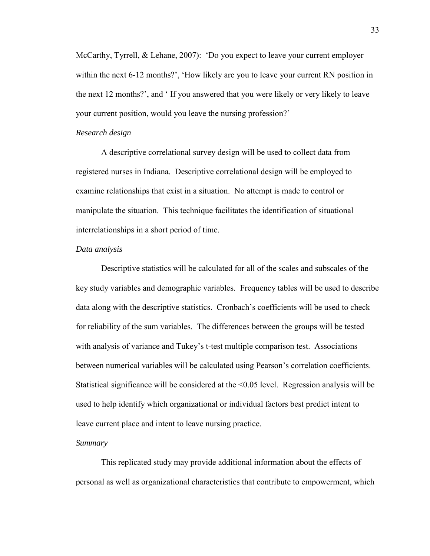within the next 6-12 months?', 'How likely are you to leave your current RN position in McCarthy, Tyrrell, & Lehane, 2007): 'Do you expect to leave your current employer the next 12 months?', and ' If you answered that you were likely or very likely to leave your current position, would you leave the nursing profession?'

## *Research design*

 registered nurses in Indiana. Descriptive correlational design will be employed to A descriptive correlational survey design will be used to collect data from examine relationships that exist in a situation. No attempt is made to control or manipulate the situation. This technique facilitates the identification of situational interrelationships in a short period of time.

#### *Data analysis*

 key study variables and demographic variables. Frequency tables will be used to describe with analysis of variance and Tukey's t-test multiple comparison test. Associations Descriptive statistics will be calculated for all of the scales and subscales of the data along with the descriptive statistics. Cronbach's coefficients will be used to check for reliability of the sum variables. The differences between the groups will be tested between numerical variables will be calculated using Pearson's correlation coefficients. Statistical significance will be considered at the <0.05 level. Regression analysis will be used to help identify which organizational or individual factors best predict intent to leave current place and intent to leave nursing practice.

#### *Summary*

This replicated study may provide additional information about the effects of personal as well as organizational characteristics that contribute to empowerment, which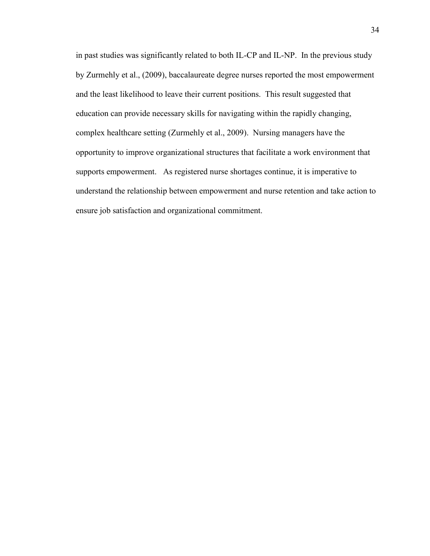by Zurmehly et al., (2009), baccalaureate degree nurses reported the most empowerment in past studies was significantly related to both IL-CP and IL-NP. In the previous study and the least likelihood to leave their current positions. This result suggested that education can provide necessary skills for navigating within the rapidly changing, complex healthcare setting (Zurmehly et al., 2009). Nursing managers have the opportunity to improve organizational structures that facilitate a work environment that supports empowerment. As registered nurse shortages continue, it is imperative to understand the relationship between empowerment and nurse retention and take action to ensure job satisfaction and organizational commitment.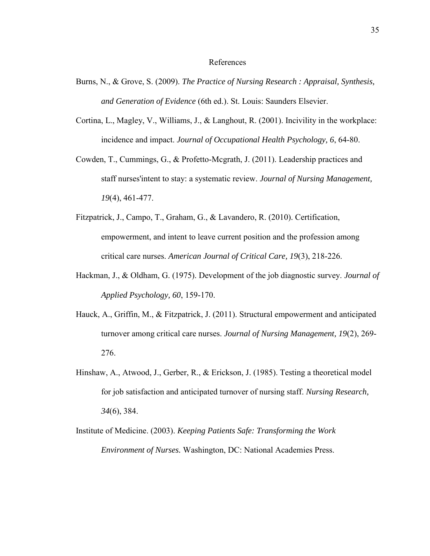## References

- Burns, N., & Grove, S. (2009). *The Practice of Nursing Research : Appraisal, Synthesis, and Generation of Evidence* (6th ed.). St. Louis: Saunders Elsevier.
- Cortina, L., Magley, V., Williams, J., & Langhout, R. (2001). Incivility in the workplace: incidence and impact. *Journal of Occupational Health Psychology, 6*, 64-80.
- Cowden, T., Cummings, G., & Profetto-Mcgrath, J. (2011). Leadership practices and staff nurses'intent to stay: a systematic review. *Journal of Nursing Management, 19*(4), 461-477.
- Fitzpatrick, J., Campo, T., Graham, G., & Lavandero, R. (2010). Certification, empowerment, and intent to leave current position and the profession among critical care nurses. *American Journal of Critical Care, 19*(3), 218-226.
- Hackman, J., & Oldham, G. (1975). Development of the job diagnostic survey. *Journal of Applied Psychology, 60*, 159-170.
- Hauck, A., Griffin, M., & Fitzpatrick, J. (2011). Structural empowerment and anticipated turnover among critical care nurses. *Journal of Nursing Management, 19*(2), 269- 276.
- Hinshaw, A., Atwood, J., Gerber, R., & Erickson, J. (1985). Testing a theoretical model for job satisfaction and anticipated turnover of nursing staff. *Nursing Research, 34*(6), 384.
- Institute of Medicine. (2003). *Keeping Patients Safe: Transforming the Work Environment of Nurses.* Washington, DC: National Academies Press.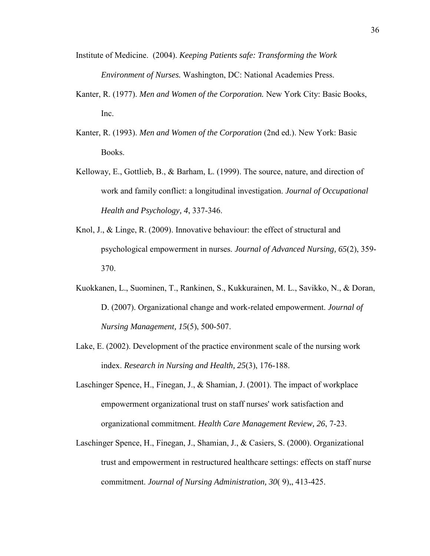- Institute of Medicine. (2004). *Keeping Patients safe: Transforming the Work Environment of Nurses.* Washington, DC: National Academies Press.
- Kanter, R. (1977). *Men and Women of the Corporation.* New York City: Basic Books, Inc.
- Kanter, R. (1993). *Men and Women of the Corporation* (2nd ed.). New York: Basic Books.
- Kelloway, E., Gottlieb, B., & Barham, L. (1999). The source, nature, and direction of work and family conflict: a longitudinal investigation. *Journal of Occupational Health and Psychology, 4*, 337-346.
- Knol, J., & Linge, R. (2009). Innovative behaviour: the effect of structural and psychological empowerment in nurses. *Journal of Advanced Nursing, 65*(2), 359- 370.
- Kuokkanen, L., Suominen, T., Rankinen, S., Kukkurainen, M. L., Savikko, N., & Doran, D. (2007). Organizational change and work-related empowerment. *Journal of Nursing Management, 15*(5), 500-507.
- Lake, E. (2002). Development of the practice environment scale of the nursing work index. *Research in Nursing and Health, 25*(3), 176-188.
- Laschinger Spence, H., Finegan, J., & Shamian, J. (2001). The impact of workplace empowerment organizational trust on staff nurses' work satisfaction and organizational commitment. *Health Care Management Review, 26*, 7-23.
- Laschinger Spence, H., Finegan, J., Shamian, J., & Casiers, S. (2000). Organizational trust and empowerment in restructured healthcare settings: effects on staff nurse commitment. *Journal of Nursing Administration, 30*( 9),, 413-425.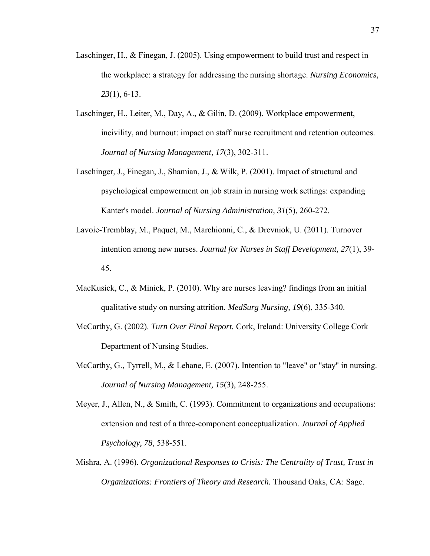- Laschinger, H., & Finegan, J. (2005). Using empowerment to build trust and respect in the workplace: a strategy for addressing the nursing shortage. *Nursing Economics, 23*(1), 6-13.
- Laschinger, H., Leiter, M., Day, A., & Gilin, D. (2009). Workplace empowerment, incivility, and burnout: impact on staff nurse recruitment and retention outcomes. *Journal of Nursing Management, 17*(3), 302-311.
- Laschinger, J., Finegan, J., Shamian, J., & Wilk, P. (2001). Impact of structural and psychological empowerment on job strain in nursing work settings: expanding Kanter's model. *Journal of Nursing Administration, 31*(5), 260-272.
- Lavoie-Tremblay, M., Paquet, M., Marchionni, C., & Drevniok, U. (2011). Turnover intention among new nurses. *Journal for Nurses in Staff Development, 27*(1), 39- 45.
- MacKusick, C., & Minick, P. (2010). Why are nurses leaving? findings from an initial qualitative study on nursing attrition. *MedSurg Nursing, 19*(6), 335-340.
- McCarthy, G. (2002). *Turn Over Final Report.* Cork, Ireland: University College Cork Department of Nursing Studies.
- McCarthy, G., Tyrrell, M., & Lehane, E. (2007). Intention to "leave" or "stay" in nursing. *Journal of Nursing Management, 15*(3), 248-255.
- Meyer, J., Allen, N., & Smith, C. (1993). Commitment to organizations and occupations: extension and test of a three-component conceptualization. *Journal of Applied Psychology, 78*, 538-551.
- Mishra, A. (1996). *Organizational Responses to Crisis: The Centrality of Trust, Trust in Organizations: Frontiers of Theory and Research.* Thousand Oaks, CA: Sage.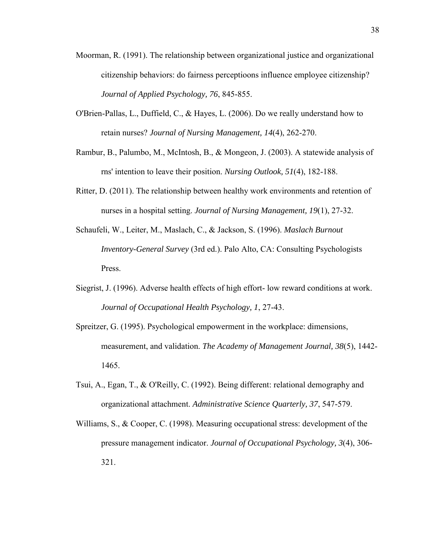- Moorman, R. (1991). The relationship between organizational justice and organizational citizenship behaviors: do fairness perceptioons influence employee citizenship? *Journal of Applied Psychology, 76*, 845-855.
- retain nurses? *Journal of Nursing Management, 14*(4), 262-270. O'Brien-Pallas, L., Duffield, C., & Hayes, L. (2006). Do we really understand how to
- Rambur, B., Palumbo, M., McIntosh, B., & Mongeon, J. (2003). A statewide analysis of rns' intention to leave their position. *Nursing Outlook, 51*(4), 182-188.
- Ritter, D. (2011). The relationship between healthy work environments and retention of nurses in a hospital setting. *Journal of Nursing Management, 19*(1), 27-32.
- Schaufeli, W., Leiter, M., Maslach, C., & Jackson, S. (1996). *Maslach Burnout Inventory-General Survey* (3rd ed.). Palo Alto, CA: Consulting Psychologists Press.
- Siegrist, J. (1996). Adverse health effects of high effort- low reward conditions at work. *Journal of Occupational Health Psychology, 1*, 27-43.
- Spreitzer, G. (1995). Psychological empowerment in the workplace: dimensions, measurement, and validation. *The Academy of Management Journal, 38*(5), 1442- 1465.
- Tsui, A., Egan, T., & O'Reilly, C. (1992). Being different: relational demography and organizational attachment. *Administrative Science Quarterly, 37*, 547-579.
- Williams, S., & Cooper, C. (1998). Measuring occupational stress: development of the pressure management indicator. *Journal of Occupational Psychology, 3*(4), 306- 321.